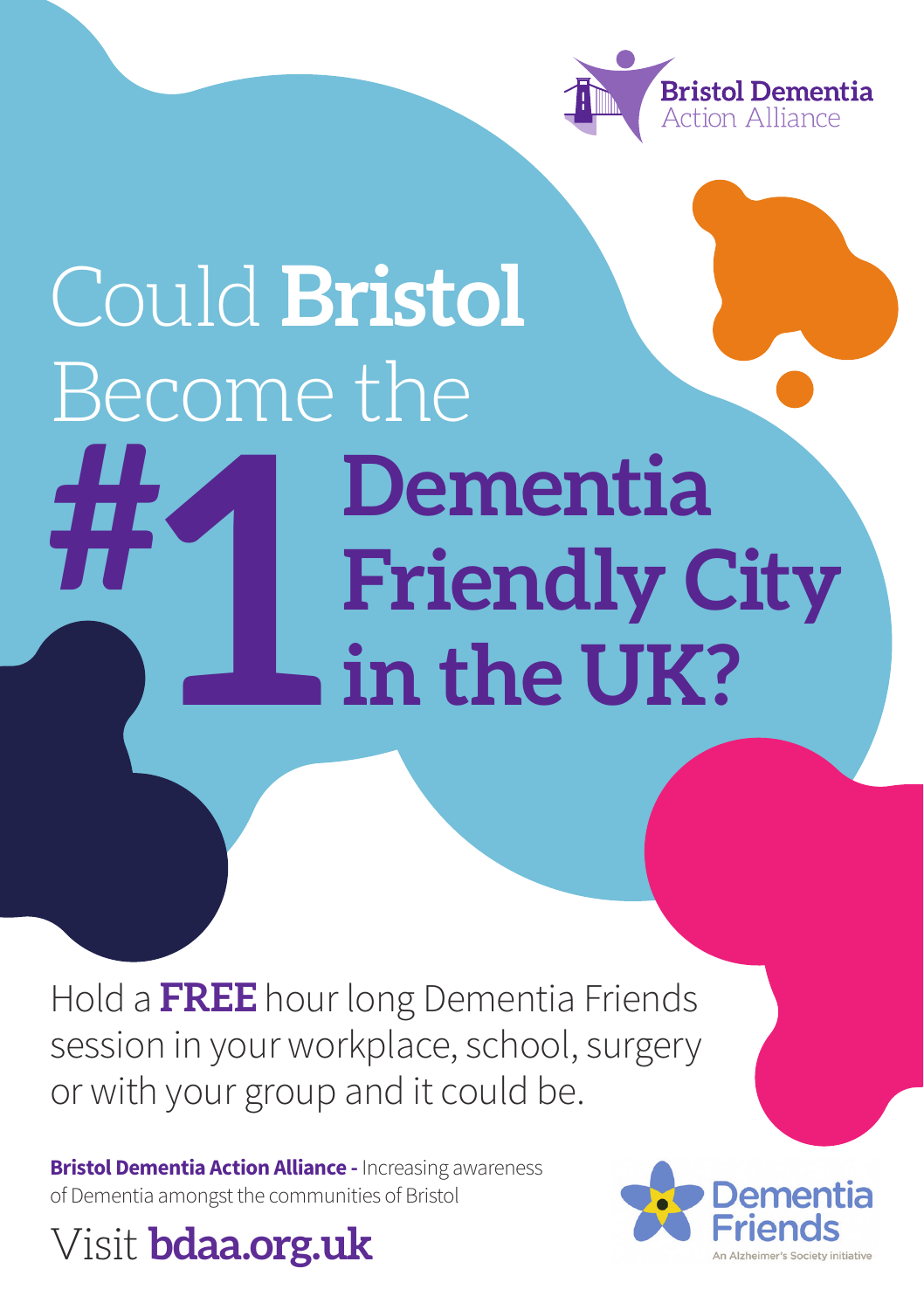

## Could **Bristol** Become the **Dementia Friendly City in the UK? # 1 h**<br>in

Hold a **FREE** hour long Dementia Friends session in your workplace, school, surgery or with your group and it could be.

**Bristol Dementia Action Alliance -** Increasing awareness of Dementia amongst the communities of Bristol